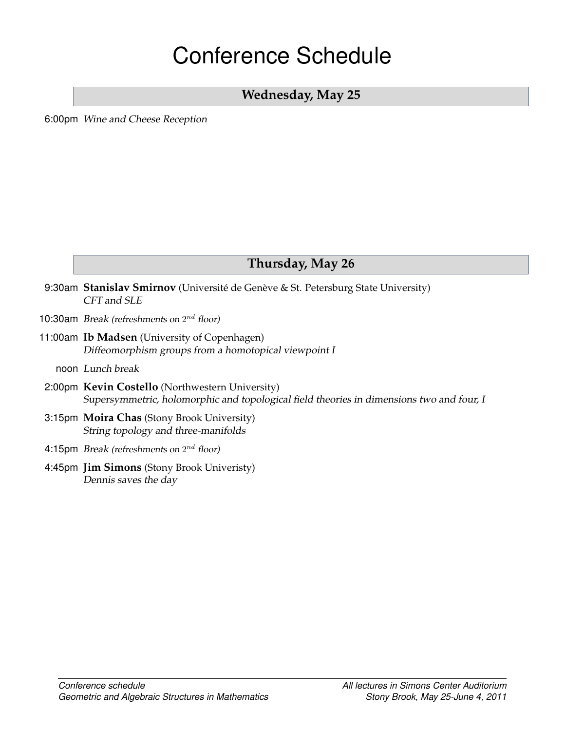# Conference Schedule

### **Wednesday, May 25**

<span id="page-0-0"></span>6:00pm Wine and Cheese Reception

### <span id="page-0-1"></span>**Thursday, May 26**

- 9:30am Stanislav Smirnov (Université de Genève & St. Petersburg State University) [CFT and SLE](#page-15-0)
- 10:30am Break (refreshments on  $2^{nd}$  floor)
- 11:00am **Ib Madsen** (University of Copenhagen) [Diffeomorphism groups from a homotopical viewpoint I](#page-7-0)
	- noon Lunch break
- 2:00pm **Kevin Costello** (Northwestern University) [Supersymmetric, holomorphic and topological field theories in dimensions two and four, I](#page-7-1)
- 3:15pm **Moira Chas** (Stony Brook University) [String topology and three-manifolds](#page-10-0)
- 4:15pm Break (refreshments on  $2^{nd}$  floor)
- 4:45pm **Jim Simons** (Stony Brook Univeristy) [Dennis saves the day](#page-14-0)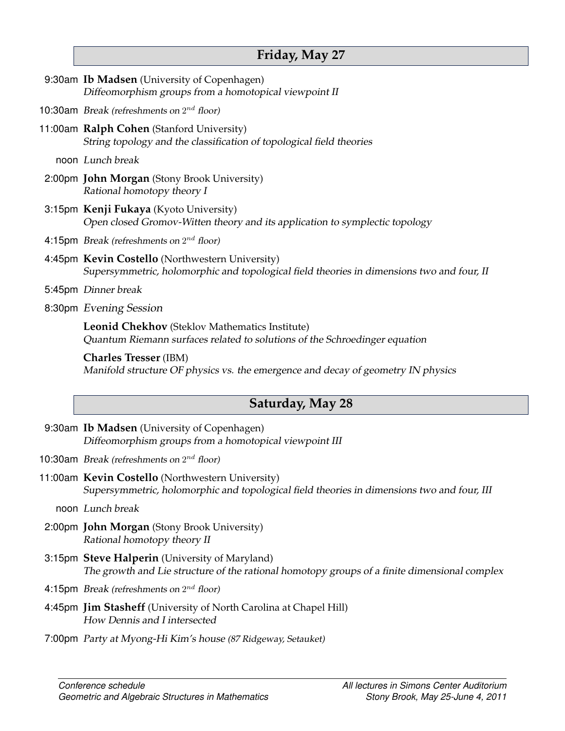### <span id="page-1-0"></span>**Friday, May 27**

| Saturday, May 28                                                                                                                             |
|----------------------------------------------------------------------------------------------------------------------------------------------|
| <b>Charles Tresser</b> (IBM)<br>Manifold structure OF physics vs. the emergence and decay of geometry IN physics                             |
| Leonid Chekhov (Steklov Mathematics Institute)<br>Quantum Riemann surfaces related to solutions of the Schroedinger equation                 |
| 8:30pm Evening Session                                                                                                                       |
| 5:45pm Dinner break                                                                                                                          |
| 4:45pm Kevin Costello (Northwestern University)<br>Supersymmetric, holomorphic and topological field theories in dimensions two and four, II |
| 4:15pm <i>Break (refreshments on</i> $2^{nd}$ <i>floor)</i>                                                                                  |
| 3:15pm Kenji Fukaya (Kyoto University)<br>Open closed Gromov-Witten theory and its application to symplectic topology                        |
| 2:00pm John Morgan (Stony Brook University)<br>Rational homotopy theory I                                                                    |
| noon Lunch break                                                                                                                             |
| 11:00am Ralph Cohen (Stanford University)<br>String topology and the classification of topological field theories                            |
| 10:30am <i>Break</i> (refreshments on $2^{nd}$ floor)                                                                                        |
| 9:30am Ib Madsen (University of Copenhagen)<br>Diffeomorphism groups from a homotopical viewpoint II                                         |

- <span id="page-1-1"></span>9:30am **Ib Madsen** (University of Copenhagen) [Diffeomorphism groups from a homotopical viewpoint III](#page-7-0)
- 10:30am Break (refreshments on  $2^{nd}$  floor)
- 11:00am **Kevin Costello** (Northwestern University) [Supersymmetric, holomorphic and topological field theories in dimensions two and four, III](#page-7-1)
	- noon Lunch break
- 2:00pm **John Morgan** (Stony Brook University) [Rational homotopy theory II](#page-8-0)
- 3:15pm **Steve Halperin** (University of Maryland) [The growth and Lie structure of the rational homotopy groups of a finite dimensional complex](#page-11-2)
- 4:15pm Break (refreshments on  $2^{nd}$  floor)
- 4:45pm **Jim Stasheff** (University of North Carolina at Chapel Hill) [How Dennis and I intersected](#page-15-1)
- 7:00pm Party at Myong-Hi Kim's house (87 Ridgeway, Setauket)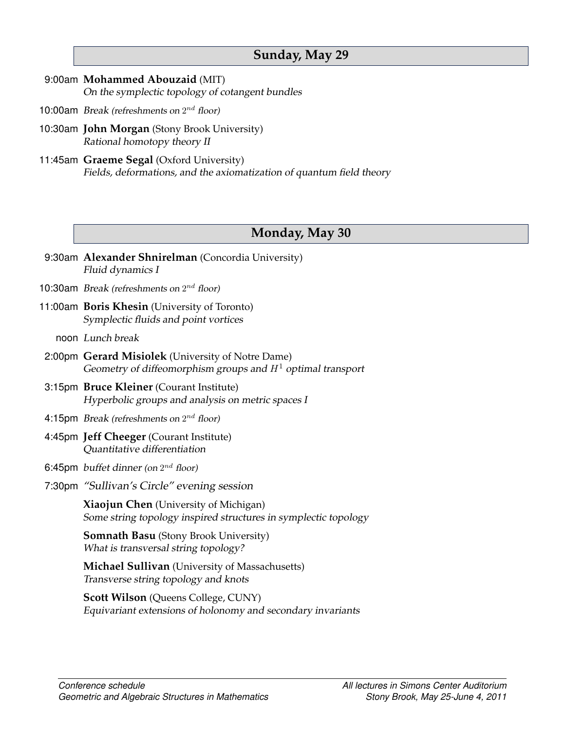### <span id="page-2-1"></span>**Sunday, May 29**

- 9:00am **Mohammed Abouzaid** (MIT) [On the symplectic topology of cotangent bundles](#page-9-0)
- 10:00am Break (refreshments on  $2^{nd}$  floor)
- 10:30am **John Morgan** (Stony Brook University) [Rational homotopy theory II](#page-8-0)
- 11:45am **Graeme Segal** (Oxford University) [Fields, deformations, and the axiomatization of quantum field theory](#page-14-1)

### <span id="page-2-0"></span>**Monday, May 30**

9:30am **Alexander Shnirelman** (Concordia University) [Fluid dynamics I](#page-8-1) 10:30am Break (refreshments on  $2^{nd}$  floor) 11:00am **Boris Khesin** (University of Toronto) [Symplectic fluids and point vortices](#page-12-0)

noon Lunch break

- 2:00pm **Gerard Misiolek** (University of Notre Dame) [Geometry of diffeomorphism groups and](#page-13-0)  $H<sup>1</sup>$  optimal transport
- 3:15pm **Bruce Kleiner** (Courant Institute) [Hyperbolic groups and analysis on metric spaces I](#page-7-2)
- 4:15pm Break (refreshments on  $2^{nd}$  floor)
- 4:45pm **Jeff Cheeger** (Courant Institute) [Quantitative differentiation](#page-10-2)
- 6:45pm  $\,$  buffet dinner (on  $2^{nd}$  floor)  $\,$
- 7:30pm "Sullivan's Circle" evening session

**Xiaojun Chen** (University of Michigan) [Some string topology inspired structures in symplectic topology](#page-10-3)

**Somnath Basu** (Stony Brook University) [What is transversal string topology?](#page-9-1)

**Michael Sullivan** (University of Massachusetts) [Transverse string topology and knots](#page-16-1)

**Scott Wilson** (Queens College, CUNY) [Equivariant extensions of holonomy and secondary invariants](#page-16-2)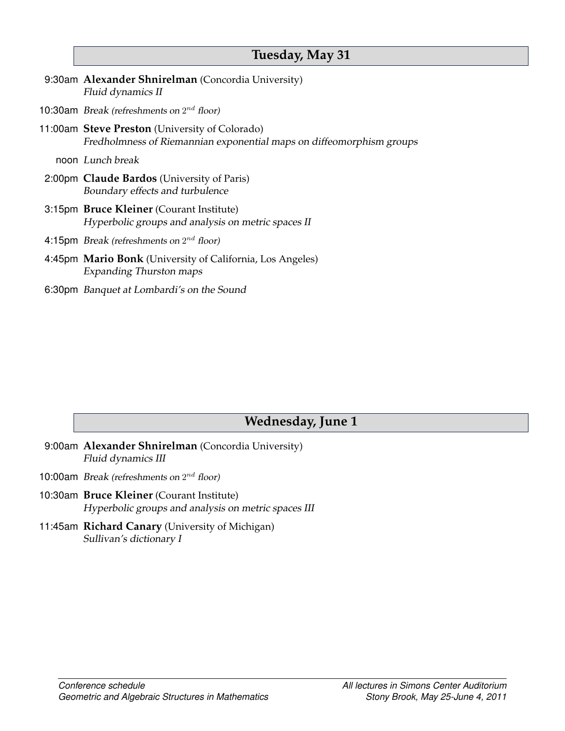### <span id="page-3-1"></span>**Tuesday, May 31**

- 9:30am **Alexander Shnirelman** (Concordia University) [Fluid dynamics II](#page-8-1)
- 10:30am Break (refreshments on  $2^{nd}$  floor)
- 11:00am **Steve Preston** (University of Colorado) [Fredholmness of Riemannian exponential maps on diffeomorphism groups](#page-13-1)

noon Lunch break

- 2:00pm **Claude Bardos** (University of Paris) [Boundary effects and turbulence](#page-9-2)
- 3:15pm **Bruce Kleiner** (Courant Institute) [Hyperbolic groups and analysis on metric spaces II](#page-7-2)
- 4:15pm Break (refreshments on  $2^{nd}$  floor)
- 4:45pm **Mario Bonk** (University of California, Los Angeles) [Expanding Thurston maps](#page-9-3)
- 6:30pm Banquet at Lombardi's on the Sound

### <span id="page-3-0"></span>**Wednesday, June 1**

- 9:00am **Alexander Shnirelman** (Concordia University) [Fluid dynamics III](#page-8-1)
- 10:00am Break (refreshments on  $2^{nd}$  floor)
- 10:30am **Bruce Kleiner** (Courant Institute) [Hyperbolic groups and analysis on metric spaces III](#page-7-2)
- 11:45am **Richard Canary** (University of Michigan) [Sullivan's dictionary I](#page-6-0)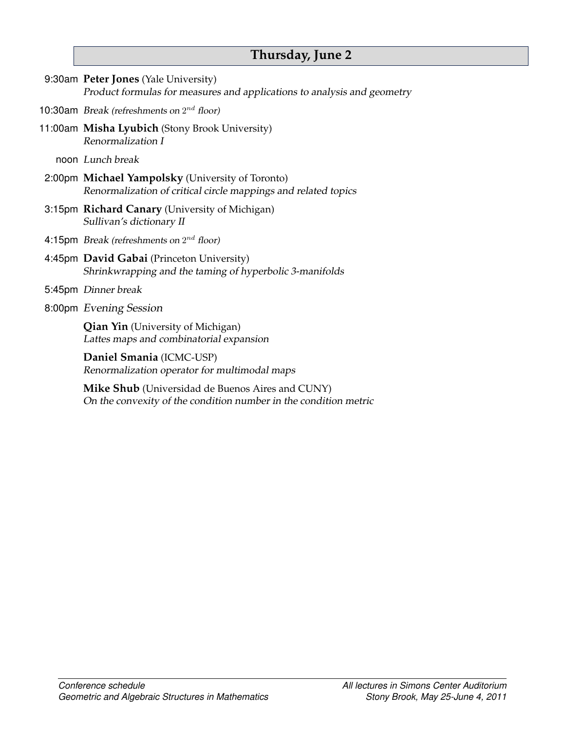# <span id="page-4-0"></span>**Thursday, June 2**

| 9:30am Peter Jones (Yale University)<br>Product formulas for measures and applications to analysis and geometry      |
|----------------------------------------------------------------------------------------------------------------------|
| 10:30am Break (refreshments on $2^{nd}$ floor)                                                                       |
| 11:00am Misha Lyubich (Stony Brook University)<br>Renormalization I                                                  |
| noon Lunch break                                                                                                     |
| 2:00pm Michael Yampolsky (University of Toronto)<br>Renormalization of critical circle mappings and related topics   |
| 3:15pm Richard Canary (University of Michigan)<br>Sullivan's dictionary II                                           |
| 4:15pm <i>Break (refreshments on</i> $2^{nd}$ <i>floor)</i>                                                          |
| 4:45pm David Gabai (Princeton University)<br>Shrinkwrapping and the taming of hyperbolic 3-manifolds                 |
| 5:45pm Dinner break                                                                                                  |
| 8:00pm Evening Session                                                                                               |
| <b>Qian Yin</b> (University of Michigan)<br>Lattes maps and combinatorial expansion                                  |
| Daniel Smania (ICMC-USP)<br>Renormalization operator for multimodal maps                                             |
| Mike Shub (Universidad de Buenos Aires and CUNY)<br>On the convexity of the condition number in the condition metric |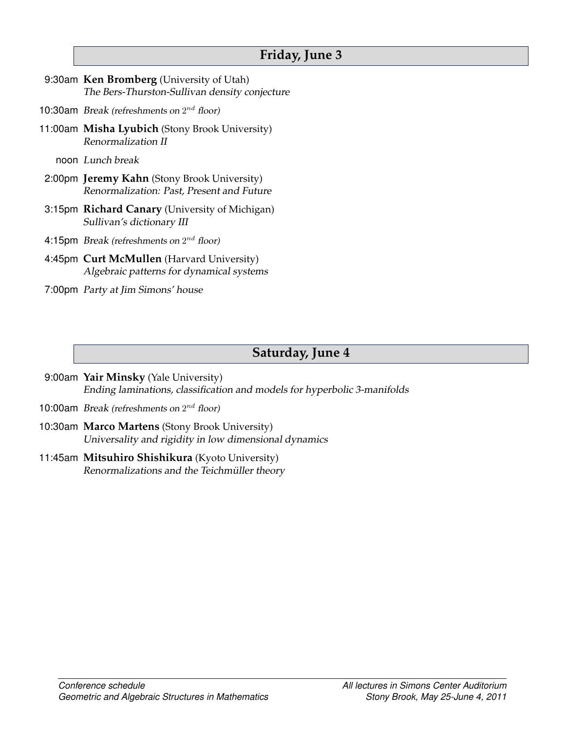### <span id="page-5-0"></span>**Friday, June 3**

- 9:30am **Ken Bromberg** (University of Utah) [The Bers-Thurston-Sullivan density conjecture](#page-9-4)
- 10:30am Break (refreshments on  $2^{nd}$  floor)
- 11:00am **Misha Lyubich** (Stony Brook University) [Renormalization II](#page-6-1)

noon Lunch break

- 2:00pm **Jeremy Kahn** (Stony Brook University) [Renormalization: Past, Present and Future](#page-12-2)
- 3:15pm **Richard Canary** (University of Michigan) [Sullivan's dictionary III](#page-6-0)
- 4:15pm Break (refreshments on  $2^{nd}$  floor)
- 4:45pm **Curt McMullen** (Harvard University) [Algebraic patterns for dynamical systems](#page-13-2)
- 7:00pm Party at Jim Simons' house

### <span id="page-5-1"></span>**Saturday, June 4**

- 9:00am **Yair Minsky** (Yale University) [Ending laminations, classification and models for hyperbolic 3-manifolds](#page-13-3)
- 10:00am Break (refreshments on  $2^{nd}$  floor)
- 10:30am **Marco Martens** (Stony Brook University) [Universality and rigidity in low dimensional dynamics](#page-13-4)
- 11:45am **Mitsuhiro Shishikura** (Kyoto University) Renormalizations and the Teichmüller theory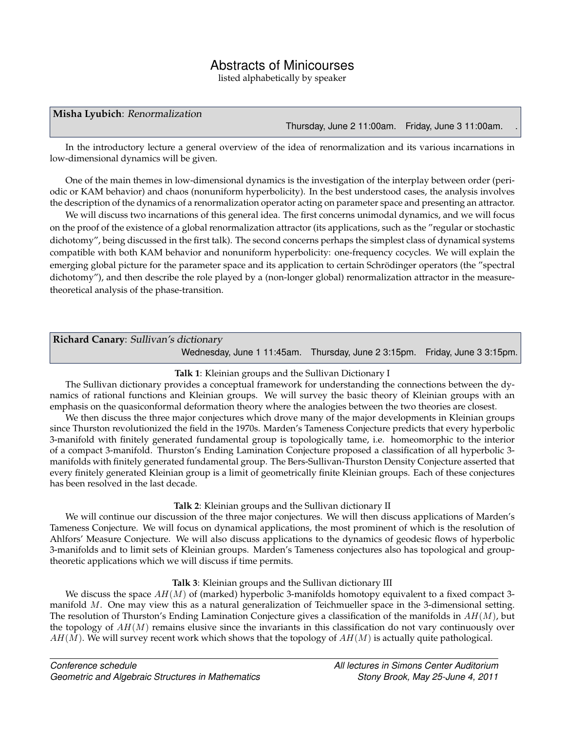### Abstracts of Minicourses

listed alphabetically by speaker

#### <span id="page-6-1"></span>**Misha Lyubich**: Renormalization

[Thursday, June 2](#page-4-0) 11:00am. [Friday, June 3](#page-5-0) 11:00am. .

In the introductory lecture a general overview of the idea of renormalization and its various incarnations in low-dimensional dynamics will be given.

One of the main themes in low-dimensional dynamics is the investigation of the interplay between order (periodic or KAM behavior) and chaos (nonuniform hyperbolicity). In the best understood cases, the analysis involves the description of the dynamics of a renormalization operator acting on parameter space and presenting an attractor.

We will discuss two incarnations of this general idea. The first concerns unimodal dynamics, and we will focus on the proof of the existence of a global renormalization attractor (its applications, such as the "regular or stochastic dichotomy", being discussed in the first talk). The second concerns perhaps the simplest class of dynamical systems compatible with both KAM behavior and nonuniform hyperbolicity: one-frequency cocycles. We will explain the emerging global picture for the parameter space and its application to certain Schrödinger operators (the "spectral dichotomy"), and then describe the role played by a (non-longer global) renormalization attractor in the measuretheoretical analysis of the phase-transition.

<span id="page-6-0"></span>

| Richard Canary: Sullivan's dictionary                                      |  |
|----------------------------------------------------------------------------|--|
| Wednesday, June 1 11:45am. Thursday, June 2 3:15pm. Friday, June 3 3:15pm. |  |

#### **Talk 1**: Kleinian groups and the Sullivan Dictionary I

The Sullivan dictionary provides a conceptual framework for understanding the connections between the dynamics of rational functions and Kleinian groups. We will survey the basic theory of Kleinian groups with an emphasis on the quasiconformal deformation theory where the analogies between the two theories are closest.

We then discuss the three major conjectures which drove many of the major developments in Kleinian groups since Thurston revolutionized the field in the 1970s. Marden's Tameness Conjecture predicts that every hyperbolic 3-manifold with finitely generated fundamental group is topologically tame, i.e. homeomorphic to the interior of a compact 3-manifold. Thurston's Ending Lamination Conjecture proposed a classification of all hyperbolic 3 manifolds with finitely generated fundamental group. The Bers-Sullivan-Thurston Density Conjecture asserted that every finitely generated Kleinian group is a limit of geometrically finite Kleinian groups. Each of these conjectures has been resolved in the last decade.

#### **Talk 2**: Kleinian groups and the Sullivan dictionary II

We will continue our discussion of the three major conjectures. We will then discuss applications of Marden's Tameness Conjecture. We will focus on dynamical applications, the most prominent of which is the resolution of Ahlfors' Measure Conjecture. We will also discuss applications to the dynamics of geodesic flows of hyperbolic 3-manifolds and to limit sets of Kleinian groups. Marden's Tameness conjectures also has topological and grouptheoretic applications which we will discuss if time permits.

### **Talk 3**: Kleinian groups and the Sullivan dictionary III

We discuss the space  $AH(M)$  of (marked) hyperbolic 3-manifolds homotopy equivalent to a fixed compact 3manifold M. One may view this as a natural generalization of Teichmueller space in the 3-dimensional setting. The resolution of Thurston's Ending Lamination Conjecture gives a classification of the manifolds in  $AH(M)$ , but the topology of  $AH(M)$  remains elusive since the invariants in this classification do not vary continuously over  $AH(M)$ . We will survey recent work which shows that the topology of  $AH(M)$  is actually quite pathological.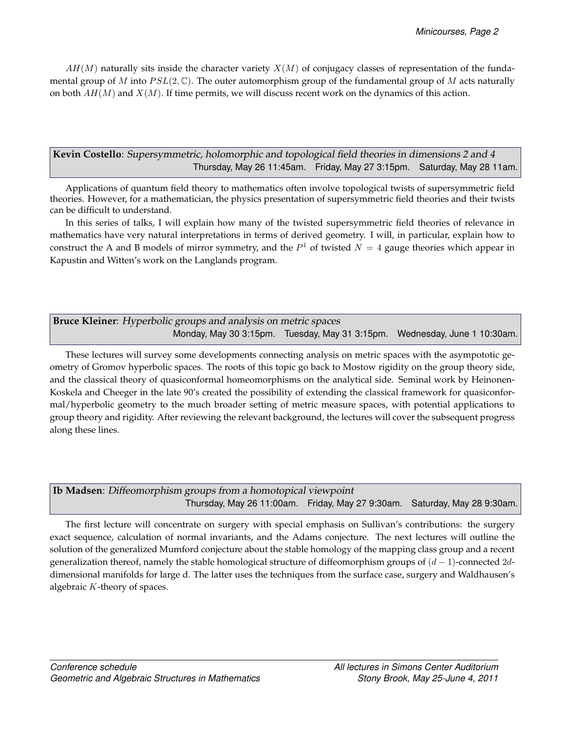$AH(M)$  naturally sits inside the character variety  $X(M)$  of conjugacy classes of representation of the fundamental group of M into  $PSL(2,\mathbb{C})$ . The outer automorphism group of the fundamental group of M acts naturally on both  $AH(M)$  and  $X(M)$ . If time permits, we will discuss recent work on the dynamics of this action.

<span id="page-7-1"></span>**Kevin Costello**: Supersymmetric, holomorphic and topological field theories in dimensions 2 and 4 [Thursday, May 26](#page-0-1) 11:45am. [Friday, May 27](#page-1-0) 3:15pm. [Saturday, May 28](#page-1-1) 11am.

Applications of quantum field theory to mathematics often involve topological twists of supersymmetric field theories. However, for a mathematician, the physics presentation of supersymmetric field theories and their twists can be difficult to understand.

In this series of talks, I will explain how many of the twisted supersymmetric field theories of relevance in mathematics have very natural interpretations in terms of derived geometry. I will, in particular, explain how to construct the A and B models of mirror symmetry, and the  $P<sup>1</sup>$  of twisted  $N = 4$  gauge theories which appear in Kapustin and Witten's work on the Langlands program.

<span id="page-7-2"></span>

| <b>Bruce Kleiner:</b> Hyperbolic groups and analysis on metric spaces |  |  |                                                                           |
|-----------------------------------------------------------------------|--|--|---------------------------------------------------------------------------|
|                                                                       |  |  | Monday, May 30 3:15pm. Tuesday, May 31 3:15pm. Wednesday, June 1 10:30am. |

These lectures will survey some developments connecting analysis on metric spaces with the asympototic geometry of Gromov hyperbolic spaces. The roots of this topic go back to Mostow rigidity on the group theory side, and the classical theory of quasiconformal homeomorphisms on the analytical side. Seminal work by Heinonen-Koskela and Cheeger in the late 90's created the possibility of extending the classical framework for quasiconformal/hyperbolic geometry to the much broader setting of metric measure spaces, with potential applications to group theory and rigidity. After reviewing the relevant background, the lectures will cover the subsequent progress along these lines.

<span id="page-7-0"></span>

| Ib Madsen: Diffeomorphism groups from a homotopical viewpoint |                                                                           |  |  |  |
|---------------------------------------------------------------|---------------------------------------------------------------------------|--|--|--|
|                                                               | Thursday, May 26 11:00am. Friday, May 27 9:30am. Saturday, May 28 9:30am. |  |  |  |

The first lecture will concentrate on surgery with special emphasis on Sullivan's contributions: the surgery exact sequence, calculation of normal invariants, and the Adams conjecture. The next lectures will outline the solution of the generalized Mumford conjecture about the stable homology of the mapping class group and a recent generalization thereof, namely the stable homological structure of diffeomorphism groups of  $(d-1)$ -connected 2ddimensional manifolds for large d. The latter uses the techniques from the surface case, surgery and Waldhausen's algebraic K-theory of spaces.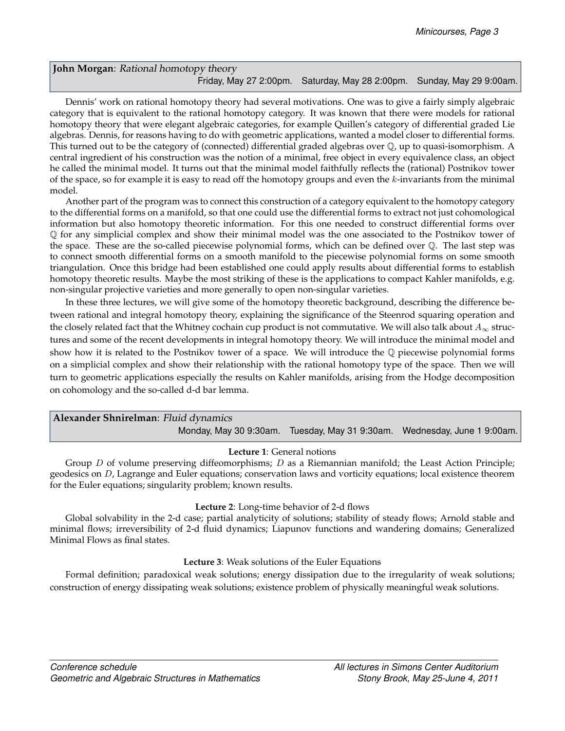### <span id="page-8-0"></span>**John Morgan**: Rational homotopy theory [Friday, May 27](#page-1-0) 2:00pm. [Saturday, May 28](#page-1-1) 2:00pm. [Sunday, May 29](#page-2-1) 9:00am.

Dennis' work on rational homotopy theory had several motivations. One was to give a fairly simply algebraic category that is equivalent to the rational homotopy category. It was known that there were models for rational homotopy theory that were elegant algebraic categories, for example Quillen's category of differential graded Lie algebras. Dennis, for reasons having to do with geometric applications, wanted a model closer to differential forms. This turned out to be the category of (connected) differential graded algebras over Q, up to quasi-isomorphism. A central ingredient of his construction was the notion of a minimal, free object in every equivalence class, an object he called the minimal model. It turns out that the minimal model faithfully reflects the (rational) Postnikov tower of the space, so for example it is easy to read off the homotopy groups and even the k-invariants from the minimal model.

Another part of the program was to connect this construction of a category equivalent to the homotopy category to the differential forms on a manifold, so that one could use the differential forms to extract not just cohomological information but also homotopy theoretic information. For this one needed to construct differential forms over Q for any simplicial complex and show their minimal model was the one associated to the Postnikov tower of the space. These are the so-called piecewise polynomial forms, which can be defined over Q. The last step was to connect smooth differential forms on a smooth manifold to the piecewise polynomial forms on some smooth triangulation. Once this bridge had been established one could apply results about differential forms to establish homotopy theoretic results. Maybe the most striking of these is the applications to compact Kahler manifolds, e.g. non-singular projective varieties and more generally to open non-singular varieties.

In these three lectures, we will give some of the homotopy theoretic background, describing the difference between rational and integral homotopy theory, explaining the significance of the Steenrod squaring operation and the closely related fact that the Whitney cochain cup product is not commutative. We will also talk about  $A_{\infty}$  structures and some of the recent developments in integral homotopy theory. We will introduce the minimal model and show how it is related to the Postnikov tower of a space. We will introduce the  $\mathbb Q$  piecewise polynomial forms on a simplicial complex and show their relationship with the rational homotopy type of the space. Then we will turn to geometric applications especially the results on Kahler manifolds, arising from the Hodge decomposition on cohomology and the so-called d-d bar lemma.

<span id="page-8-1"></span>

| Alexander Shnirelman: Fluid dynamics |                                                                          |
|--------------------------------------|--------------------------------------------------------------------------|
|                                      | Monday, May 30 9:30am. Tuesday, May 31 9:30am. Wednesday, June 1 9:00am. |

### **Lecture 1**: General notions

Group D of volume preserving diffeomorphisms; D as a Riemannian manifold; the Least Action Principle; geodesics on D, Lagrange and Euler equations; conservation laws and vorticity equations; local existence theorem for the Euler equations; singularity problem; known results.

### **Lecture 2**: Long-time behavior of 2-d flows

Global solvability in the 2-d case; partial analyticity of solutions; stability of steady flows; Arnold stable and minimal flows; irreversibility of 2-d fluid dynamics; Liapunov functions and wandering domains; Generalized Minimal Flows as final states.

### **Lecture 3**: Weak solutions of the Euler Equations

Formal definition; paradoxical weak solutions; energy dissipation due to the irregularity of weak solutions; construction of energy dissipating weak solutions; existence problem of physically meaningful weak solutions.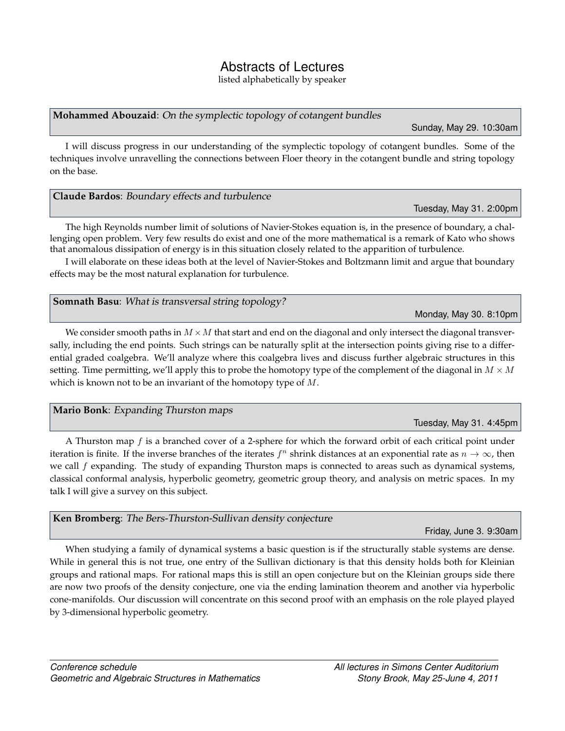### Abstracts of Lectures

listed alphabetically by speaker

### <span id="page-9-0"></span>**Mohammed Abouzaid**: On the symplectic topology of cotangent bundles

[Sunday, May 29.](#page-2-1) 10:30am

I will discuss progress in our understanding of the symplectic topology of cotangent bundles. Some of the techniques involve unravelling the connections between Floer theory in the cotangent bundle and string topology on the base.

<span id="page-9-2"></span>

| Claude Bardos: Boundary effects and turbulence |                         |
|------------------------------------------------|-------------------------|
|                                                | Tuesday, May 31. 2:00pm |

The high Reynolds number limit of solutions of Navier-Stokes equation is, in the presence of boundary, a challenging open problem. Very few results do exist and one of the more mathematical is a remark of Kato who shows that anomalous dissipation of energy is in this situation closely related to the apparition of turbulence.

I will elaborate on these ideas both at the level of Navier-Stokes and Boltzmann limit and argue that boundary effects may be the most natural explanation for turbulence.

### <span id="page-9-1"></span>**Somnath Basu**: What is transversal string topology?

[Monday, May 30.](#page-2-0) 8:10pm

[Tuesday, May 31.](#page-3-1) 4:45pm

June 3. 9:30am

We consider smooth paths in  $M \times M$  that start and end on the diagonal and only intersect the diagonal transversally, including the end points. Such strings can be naturally split at the intersection points giving rise to a differential graded coalgebra. We'll analyze where this coalgebra lives and discuss further algebraic structures in this setting. Time permitting, we'll apply this to probe the homotopy type of the complement of the diagonal in  $M \times M$ which is known not to be an invariant of the homotopy type of M.

### <span id="page-9-3"></span>**Mario Bonk**: Expanding Thurston maps

A Thurston map  $f$  is a branched cover of a 2-sphere for which the forward orbit of each critical point under iteration is finite. If the inverse branches of the iterates  $f^n$  shrink distances at an exponential rate as  $n \to \infty$ , then we call f expanding. The study of expanding Thurston maps is connected to areas such as dynamical systems, classical conformal analysis, hyperbolic geometry, geometric group theory, and analysis on metric spaces. In my talk I will give a survey on this subject.

<span id="page-9-4"></span>

| Ken Bromberg: The Bers-Thurston-Sullivan density conjecture                                          |
|------------------------------------------------------------------------------------------------------|
| Friday                                                                                               |
| When studying a family of dynamical systems a basic question is if the structurally stable system    |
| While in general this is not true, one entry of the Sullivan dictionary is that this density holds b |

stems are dense. oth for Kleinian groups and rational maps. For rational maps this is still an open conjecture but on the Kleinian groups side there are now two proofs of the density conjecture, one via the ending lamination theorem and another via hyperbolic cone-manifolds. Our discussion will concentrate on this second proof with an emphasis on the role played played by 3-dimensional hyperbolic geometry.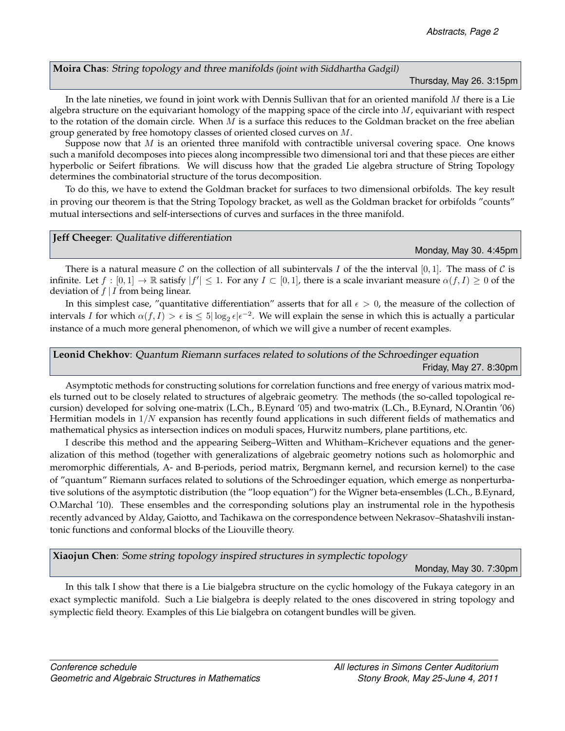<span id="page-10-0"></span>**Moira Chas**: String topology and three manifolds (joint with Siddhartha Gadgil)

[Thursday, May 26.](#page-0-1) 3:15pm

In the late nineties, we found in joint work with Dennis Sullivan that for an oriented manifold  $M$  there is a Lie algebra structure on the equivariant homology of the mapping space of the circle into  $M$ , equivariant with respect to the rotation of the domain circle. When  $M$  is a surface this reduces to the Goldman bracket on the free abelian group generated by free homotopy classes of oriented closed curves on M.

Suppose now that  $M$  is an oriented three manifold with contractible universal covering space. One knows such a manifold decomposes into pieces along incompressible two dimensional tori and that these pieces are either hyperbolic or Seifert fibrations. We will discuss how that the graded Lie algebra structure of String Topology determines the combinatorial structure of the torus decomposition.

To do this, we have to extend the Goldman bracket for surfaces to two dimensional orbifolds. The key result in proving our theorem is that the String Topology bracket, as well as the Goldman bracket for orbifolds "counts" mutual intersections and self-intersections of curves and surfaces in the three manifold.

#### <span id="page-10-2"></span>**Jeff Cheeger**: Qualitative differentiation

[Monday, May 30.](#page-2-0) 4:45pm

There is a natural measure C on the collection of all subintervals I of the the interval [0,1]. The mass of C is infinite. Let  $f:[0,1]\to\mathbb{R}$  satisfy  $|f'|\leq 1$ . For any  $I\subset[0,1]$ , there is a scale invariant measure  $\alpha(f,I)\geq 0$  of the deviation of  $f | I$  from being linear.

In this simplest case, "quantitative differentiation" asserts that for all  $\epsilon > 0$ , the measure of the collection of intervals I for which  $\alpha(f,I) > \epsilon$  is  $\leq 5|\log_2 \epsilon| \epsilon^{-2}$ . We will explain the sense in which this is actually a particular instance of a much more general phenomenon, of which we will give a number of recent examples.

<span id="page-10-1"></span>**Leonid Chekhov**: Quantum Riemann surfaces related to solutions of the Schroedinger equation [Friday, May 27.](#page-1-0) 8:30pm

Asymptotic methods for constructing solutions for correlation functions and free energy of various matrix models turned out to be closely related to structures of algebraic geometry. The methods (the so-called topological recursion) developed for solving one-matrix (L.Ch., B.Eynard '05) and two-matrix (L.Ch., B.Eynard, N.Orantin '06) Hermitian models in  $1/N$  expansion has recently found applications in such different fields of mathematics and mathematical physics as intersection indices on moduli spaces, Hurwitz numbers, plane partitions, etc.

I describe this method and the appearing Seiberg–Witten and Whitham–Krichever equations and the generalization of this method (together with generalizations of algebraic geometry notions such as holomorphic and meromorphic differentials, A- and B-periods, period matrix, Bergmann kernel, and recursion kernel) to the case of "quantum" Riemann surfaces related to solutions of the Schroedinger equation, which emerge as nonperturbative solutions of the asymptotic distribution (the "loop equation") for the Wigner beta-ensembles (L.Ch., B.Eynard, O.Marchal '10). These ensembles and the corresponding solutions play an instrumental role in the hypothesis recently advanced by Alday, Gaiotto, and Tachikawa on the correspondence between Nekrasov–Shatashvili instantonic functions and conformal blocks of the Liouville theory.

<span id="page-10-3"></span>**Xiaojun Chen**: Some string topology inspired structures in symplectic topology

[Monday, May 30.](#page-2-0) 7:30pm

In this talk I show that there is a Lie bialgebra structure on the cyclic homology of the Fukaya category in an exact symplectic manifold. Such a Lie bialgebra is deeply related to the ones discovered in string topology and symplectic field theory. Examples of this Lie bialgebra on cotangent bundles will be given.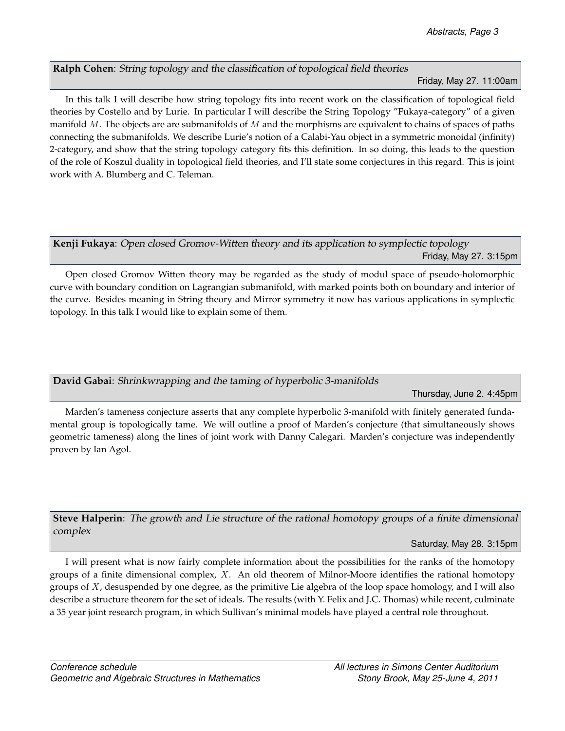### <span id="page-11-0"></span>**Ralph Cohen**: String topology and the classification of topological field theories

### [Friday, May 27.](#page-1-0) 11:00am

In this talk I will describe how string topology fits into recent work on the classification of topological field theories by Costello and by Lurie. In particular I will describe the String Topology "Fukaya-category" of a given manifold  $M$ . The objects are are submanifolds of  $M$  and the morphisms are equivalent to chains of spaces of paths connecting the submanifolds. We describe Lurie's notion of a Calabi-Yau object in a symmetric monoidal (infinity) 2-category, and show that the string topology category fits this definition. In so doing, this leads to the question of the role of Koszul duality in topological field theories, and I'll state some conjectures in this regard. This is joint work with A. Blumberg and C. Teleman.

### <span id="page-11-1"></span>**Kenji Fukaya**: Open closed Gromov-Witten theory and its application to symplectic topology [Friday, May 27.](#page-1-0) 3:15pm

Open closed Gromov Witten theory may be regarded as the study of modul space of pseudo-holomorphic curve with boundary condition on Lagrangian submanifold, with marked points both on boundary and interior of the curve. Besides meaning in String theory and Mirror symmetry it now has various applications in symplectic topology. In this talk I would like to explain some of them.

### <span id="page-11-3"></span>**David Gabai**: Shrinkwrapping and the taming of hyperbolic 3-manifolds

[Thursday, June 2.](#page-4-0) 4:45pm

Marden's tameness conjecture asserts that any complete hyperbolic 3-manifold with finitely generated fundamental group is topologically tame. We will outline a proof of Marden's conjecture (that simultaneously shows geometric tameness) along the lines of joint work with Danny Calegari. Marden's conjecture was independently proven by Ian Agol.

<span id="page-11-2"></span>**Steve Halperin**: The growth and Lie structure of the rational homotopy groups of a finite dimensional complex

[Saturday, May 28.](#page-1-1) 3:15pm

I will present what is now fairly complete information about the possibilities for the ranks of the homotopy groups of a finite dimensional complex,  $X$ . An old theorem of Milnor-Moore identifies the rational homotopy groups of X, desuspended by one degree, as the primitive Lie algebra of the loop space homology, and I will also describe a structure theorem for the set of ideals. The results (with Y. Felix and J.C. Thomas) while recent, culminate a 35 year joint research program, in which Sullivan's minimal models have played a central role throughout.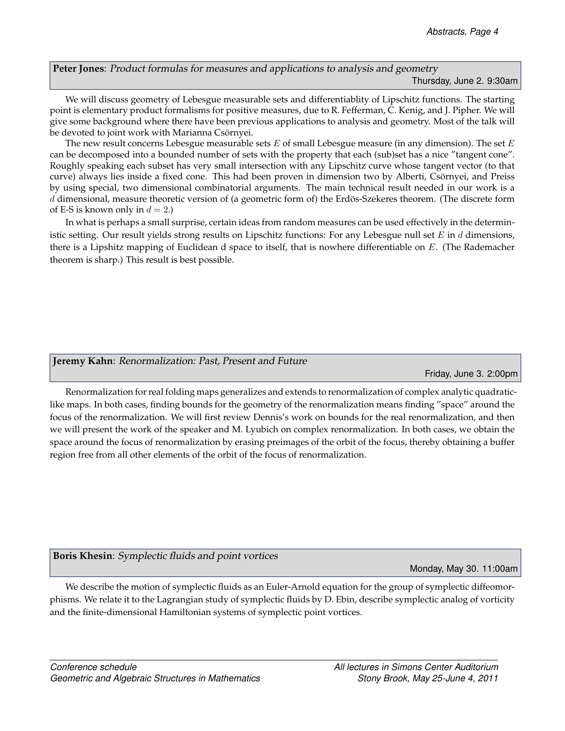<span id="page-12-1"></span>**Peter Jones**: Product formulas for measures and applications to analysis and geometry [Thursday, June 2.](#page-4-0) 9:30am

We will discuss geometry of Lebesgue measurable sets and differentiablity of Lipschitz functions. The starting point is elementary product formalisms for positive measures, due to R. Fefferman, C. Kenig, and J. Pipher. We will give some background where there have been previous applications to analysis and geometry. Most of the talk will be devoted to joint work with Marianna Csörnyei.

The new result concerns Lebesgue measurable sets  $E$  of small Lebesgue measure (in any dimension). The set  $E$ can be decomposed into a bounded number of sets with the property that each (sub)set has a nice "tangent cone". Roughly speaking each subset has very small intersection with any Lipschitz curve whose tangent vector (to that curve) always lies inside a fixed cone. This had been proven in dimension two by Alberti, Csörnyei, and Preiss by using special, two dimensional combinatorial arguments. The main technical result needed in our work is a d dimensional, measure theoretic version of (a geometric form of) the Erdös-Szekeres theorem. (The discrete form of E-S is known only in  $d = 2$ .)

In what is perhaps a small surprise, certain ideas from random measures can be used effectively in the deterministic setting. Our result yields strong results on Lipschitz functions: For any Lebesgue null set  $E$  in  $d$  dimensions, there is a Lipshitz mapping of Euclidean d space to itself, that is nowhere differentiable on E. (The Rademacher theorem is sharp.) This result is best possible.

### <span id="page-12-2"></span>**Jeremy Kahn**: Renormalization: Past, Present and Future

[Friday, June 3.](#page-5-0) 2:00pm

Renormalization for real folding maps generalizes and extends to renormalization of complex analytic quadraticlike maps. In both cases, finding bounds for the geometry of the renormalization means finding "space" around the focus of the renormalization. We will first review Dennis's work on bounds for the real renormalization, and then we will present the work of the speaker and M. Lyubich on complex renormalization. In both cases, we obtain the space around the focus of renormalization by erasing preimages of the orbit of the focus, thereby obtaining a buffer region free from all other elements of the orbit of the focus of renormalization.

<span id="page-12-0"></span>**Boris Khesin**: Symplectic fluids and point vortices

[Monday, May 30.](#page-2-0) 11:00am

We describe the motion of symplectic fluids as an Euler-Arnold equation for the group of symplectic diffeomorphisms. We relate it to the Lagrangian study of symplectic fluids by D. Ebin, describe symplectic analog of vorticity and the finite-dimensional Hamiltonian systems of symplectic point vortices.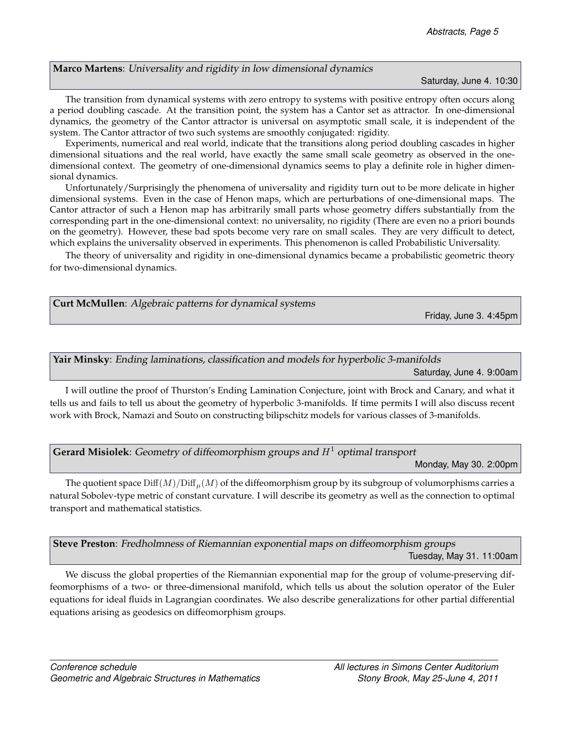### <span id="page-13-4"></span>**Marco Martens**: Universality and rigidity in low dimensional dynamics

#### [Saturday, June 4.](#page-5-1) 10:30

The transition from dynamical systems with zero entropy to systems with positive entropy often occurs along a period doubling cascade. At the transition point, the system has a Cantor set as attractor. In one-dimensional dynamics, the geometry of the Cantor attractor is universal on asymptotic small scale, it is independent of the system. The Cantor attractor of two such systems are smoothly conjugated: rigidity.

Experiments, numerical and real world, indicate that the transitions along period doubling cascades in higher dimensional situations and the real world, have exactly the same small scale geometry as observed in the onedimensional context. The geometry of one-dimensional dynamics seems to play a definite role in higher dimensional dynamics.

Unfortunately/Surprisingly the phenomena of universality and rigidity turn out to be more delicate in higher dimensional systems. Even in the case of Henon maps, which are perturbations of one-dimensional maps. The Cantor attractor of such a Henon map has arbitrarily small parts whose geometry differs substantially from the corresponding part in the one-dimensional context: no universality, no rigidity (There are even no a priori bounds on the geometry). However, these bad spots become very rare on small scales. They are very difficult to detect, which explains the universality observed in experiments. This phenomenon is called Probabilistic Universality.

The theory of universality and rigidity in one-dimensional dynamics became a probabilistic geometric theory for two-dimensional dynamics.

<span id="page-13-2"></span>

| Curt McMullen: Algebraic patterns for dynamical systems |                        |
|---------------------------------------------------------|------------------------|
|                                                         | Friday, June 3. 4:45pm |
|                                                         |                        |

## <span id="page-13-3"></span>**Yair Minsky**: Ending laminations, classification and models for hyperbolic 3-manifolds

[Saturday, June 4.](#page-5-1) 9:00am

I will outline the proof of Thurston's Ending Lamination Conjecture, joint with Brock and Canary, and what it tells us and fails to tell us about the geometry of hyperbolic 3-manifolds. If time permits I will also discuss recent work with Brock, Namazi and Souto on constructing bilipschitz models for various classes of 3-manifolds.

<span id="page-13-0"></span>**Gerard Misiolek**: Geometry of diffeomorphism groups and  $H<sup>1</sup>$  optimal transport

[Monday, May 30.](#page-2-0) 2:00pm

The quotient space  $\text{Diff}(M)/\text{Diff}_{\mu}(M)$  of the diffeomorphism group by its subgroup of volumorphisms carries a natural Sobolev-type metric of constant curvature. I will describe its geometry as well as the connection to optimal transport and mathematical statistics.

<span id="page-13-1"></span>**Steve Preston**: Fredholmness of Riemannian exponential maps on diffeomorphism groups [Tuesday, May 31.](#page-3-1) 11:00am

We discuss the global properties of the Riemannian exponential map for the group of volume-preserving diffeomorphisms of a two- or three-dimensional manifold, which tells us about the solution operator of the Euler equations for ideal fluids in Lagrangian coordinates. We also describe generalizations for other partial differential equations arising as geodesics on diffeomorphism groups.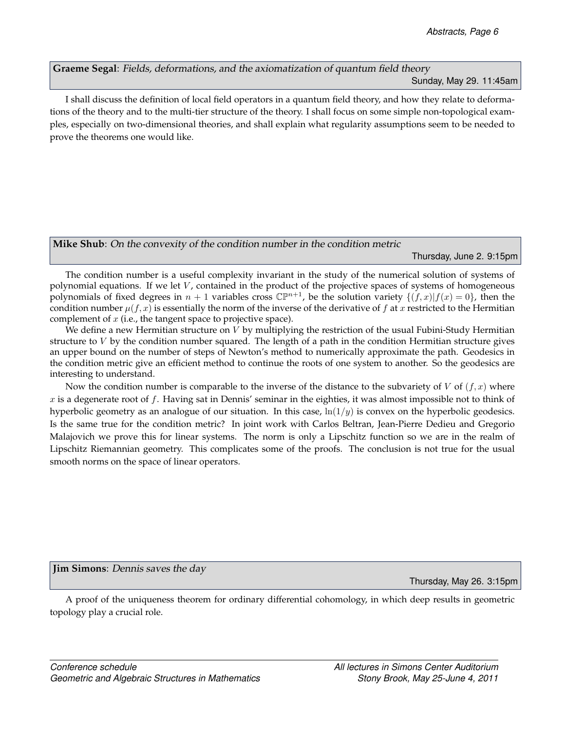<span id="page-14-1"></span>**Graeme Segal**: Fields, deformations, and the axiomatization of quantum field theory [Sunday, May 29.](#page-2-1) 11:45am

I shall discuss the definition of local field operators in a quantum field theory, and how they relate to deformations of the theory and to the multi-tier structure of the theory. I shall focus on some simple non-topological examples, especially on two-dimensional theories, and shall explain what regularity assumptions seem to be needed to prove the theorems one would like.

<span id="page-14-2"></span>**Mike Shub**: On the convexity of the condition number in the condition metric

[Thursday, June 2.](#page-4-0) 9:15pm

The condition number is a useful complexity invariant in the study of the numerical solution of systems of polynomial equations. If we let  $V$ , contained in the product of the projective spaces of systems of homogeneous polynomials of fixed degrees in  $n + 1$  variables cross  $\mathbb{CP}^{n+1}$ , be the solution variety  $\{(f, x)|f(x) = 0\}$ , then the condition number  $\mu(f, x)$  is essentially the norm of the inverse of the derivative of f at x restricted to the Hermitian complement of  $x$  (i.e., the tangent space to projective space).

We define a new Hermitian structure on  $V$  by multiplying the restriction of the usual Fubini-Study Hermitian structure to  $V$  by the condition number squared. The length of a path in the condition Hermitian structure gives an upper bound on the number of steps of Newton's method to numerically approximate the path. Geodesics in the condition metric give an efficient method to continue the roots of one system to another. So the geodesics are interesting to understand.

Now the condition number is comparable to the inverse of the distance to the subvariety of V of  $(f, x)$  where x is a degenerate root of f. Having sat in Dennis' seminar in the eighties, it was almost impossible not to think of hyperbolic geometry as an analogue of our situation. In this case,  $\ln(1/y)$  is convex on the hyperbolic geodesics. Is the same true for the condition metric? In joint work with Carlos Beltran, Jean-Pierre Dedieu and Gregorio Malajovich we prove this for linear systems. The norm is only a Lipschitz function so we are in the realm of Lipschitz Riemannian geometry. This complicates some of the proofs. The conclusion is not true for the usual smooth norms on the space of linear operators.

<span id="page-14-0"></span>**Jim Simons**: Dennis saves the day

[Thursday, May 26.](#page-0-1) 3:15pm

A proof of the uniqueness theorem for ordinary differential cohomology, in which deep results in geometric topology play a crucial role.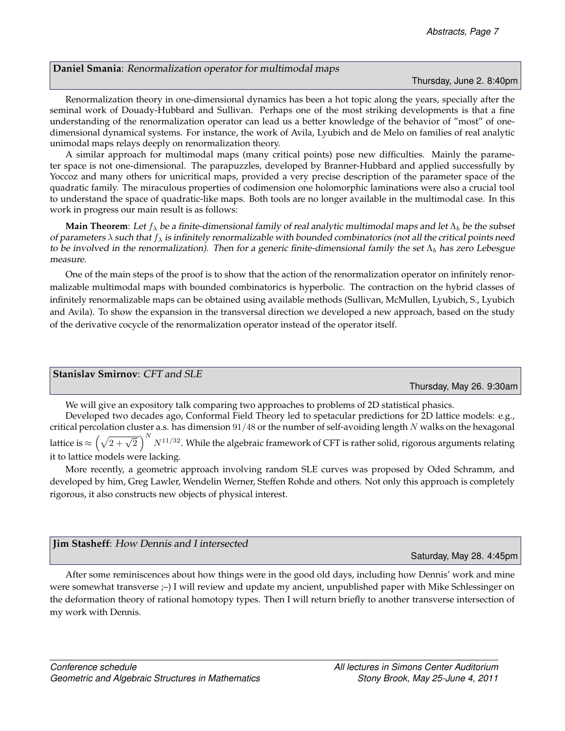#### <span id="page-15-2"></span>**Daniel Smania**: Renormalization operator for multimodal maps

[Thursday, June 2.](#page-4-0) 8:40pm

Renormalization theory in one-dimensional dynamics has been a hot topic along the years, specially after the seminal work of Douady-Hubbard and Sullivan. Perhaps one of the most striking developments is that a fine understanding of the renormalization operator can lead us a better knowledge of the behavior of "most" of onedimensional dynamical systems. For instance, the work of Avila, Lyubich and de Melo on families of real analytic unimodal maps relays deeply on renormalization theory.

A similar approach for multimodal maps (many critical points) pose new difficulties. Mainly the parameter space is not one-dimensional. The parapuzzles, developed by Branner-Hubbard and applied successfully by Yoccoz and many others for unicritical maps, provided a very precise description of the parameter space of the quadratic family. The miraculous properties of codimension one holomorphic laminations were also a crucial tool to understand the space of quadratic-like maps. Both tools are no longer available in the multimodal case. In this work in progress our main result is as follows:

**Main Theorem**: Let  $f_{\lambda}$  be a finite-dimensional family of real analytic multimodal maps and let  $\Lambda_b$  be the subset of parameters  $\lambda$  such that  $f_\lambda$  is infinitely renormalizable with bounded combinatorics (not all the critical points need to be involved in the renormalization). Then for a generic finite-dimensional family the set  $\Lambda_b$  has zero Lebesgue measure.

One of the main steps of the proof is to show that the action of the renormalization operator on infinitely renormalizable multimodal maps with bounded combinatorics is hyperbolic. The contraction on the hybrid classes of infinitely renormalizable maps can be obtained using available methods (Sullivan, McMullen, Lyubich, S., Lyubich and Avila). To show the expansion in the transversal direction we developed a new approach, based on the study of the derivative cocycle of the renormalization operator instead of the operator itself.

<span id="page-15-0"></span>

| <b>Stanislay Smirnov: CFT and SLE</b> |
|---------------------------------------|
|---------------------------------------|

[Thursday, May 26.](#page-0-1) 9:30am

We will give an expository talk comparing two approaches to problems of 2D statistical phasics.

Developed two decades ago, Conformal Field Theory led to spetacular predictions for 2D lattice models: e.g., critical percolation cluster a.s. has dimension  $91/48$  or the number of self-avoiding length  $N$  walks on the hexagonal lattice is  $\approx \left(\sqrt{2+\sqrt{2}}\,\right)^N N^{11/32}$ . While the algebraic framework of CFT is rather solid, rigorous arguments relating it to lattice models were lacking.

More recently, a geometric approach involving random SLE curves was proposed by Oded Schramm, and developed by him, Greg Lawler, Wendelin Werner, Steffen Rohde and others. Not only this approach is completely rigorous, it also constructs new objects of physical interest.

<span id="page-15-1"></span>

| <b>Jim Stasheff:</b> How Dennis and I intersected |                                              |  |
|---------------------------------------------------|----------------------------------------------|--|
|                                                   | $C_{\text{at(\omega)}$ May 28 $\Lambda$ 45nm |  |

[Saturday, May 28.](#page-1-1) 4:45pm

After some reminiscences about how things were in the good old days, including how Dennis' work and mine were somewhat transverse ;–) I will review and update my ancient, unpublished paper with Mike Schlessinger on the deformation theory of rational homotopy types. Then I will return briefly to another transverse intersection of my work with Dennis.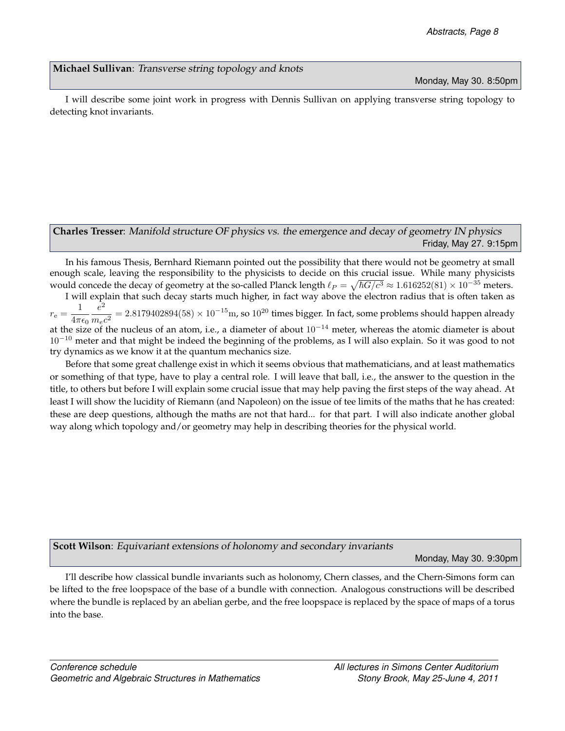### <span id="page-16-1"></span>**Michael Sullivan**: Transverse string topology and knots

[Monday, May 30.](#page-2-0) 8:50pm

I will describe some joint work in progress with Dennis Sullivan on applying transverse string topology to detecting knot invariants.

### <span id="page-16-0"></span>**Charles Tresser**: Manifold structure OF physics vs. the emergence and decay of geometry IN physics [Friday, May 27.](#page-1-0) 9:15pm

In his famous Thesis, Bernhard Riemann pointed out the possibility that there would not be geometry at small enough scale, leaving the responsibility to the physicists to decide on this crucial issue. While many physicists would concede the decay of geometry at the so-called Planck length  $\ell_P = \sqrt{\hbar G/c^3} \approx 1.616252(81) \times 10^{-35}$  meters.

I will explain that such decay starts much higher, in fact way above the electron radius that is often taken as  $r_{\rm e} =$ 1  $4\pi\epsilon_0\ m_ec^2$ e 2  $= 2.8179402894(58) \times 10^{-15}$  m, so  $10^{20}$  times bigger. In fact, some problems should happen already at the size of the nucleus of an atom, i.e., a diameter of about 10<sup>−</sup><sup>14</sup> meter, whereas the atomic diameter is about  $10^{-10}$  meter and that might be indeed the beginning of the problems, as I will also explain. So it was good to not try dynamics as we know it at the quantum mechanics size.

Before that some great challenge exist in which it seems obvious that mathematicians, and at least mathematics or something of that type, have to play a central role. I will leave that ball, i.e., the answer to the question in the title, to others but before I will explain some crucial issue that may help paving the first steps of the way ahead. At least I will show the lucidity of Riemann (and Napoleon) on the issue of tee limits of the maths that he has created: these are deep questions, although the maths are not that hard... for that part. I will also indicate another global way along which topology and/or geometry may help in describing theories for the physical world.

### <span id="page-16-2"></span>**Scott Wilson**: Equivariant extensions of holonomy and secondary invariants

[Monday, May 30.](#page-2-0) 9:30pm

I'll describe how classical bundle invariants such as holonomy, Chern classes, and the Chern-Simons form can be lifted to the free loopspace of the base of a bundle with connection. Analogous constructions will be described where the bundle is replaced by an abelian gerbe, and the free loopspace is replaced by the space of maps of a torus into the base.